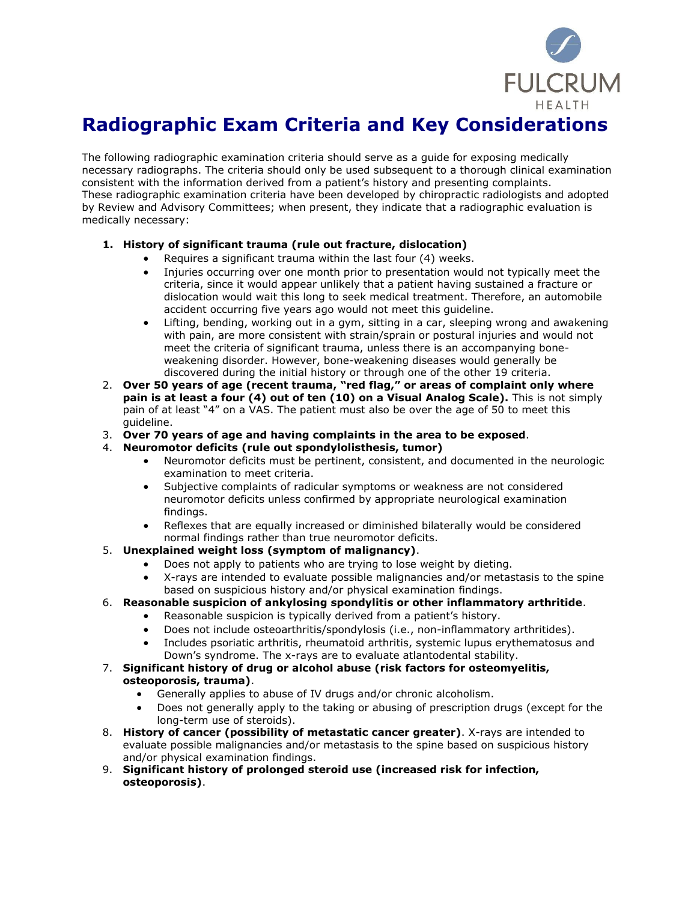

## **Radiographic Exam Criteria and Key Considerations**

The following radiographic examination criteria should serve as a guide for exposing medically necessary radiographs. The criteria should only be used subsequent to a thorough clinical examination consistent with the information derived from a patient's history and presenting complaints. These radiographic examination criteria have been developed by chiropractic radiologists and adopted by Review and Advisory Committees; when present, they indicate that a radiographic evaluation is medically necessary:

## **1. History of significant trauma (rule out fracture, dislocation)**

- Requires a significant trauma within the last four (4) weeks.
- Injuries occurring over one month prior to presentation would not typically meet the criteria, since it would appear unlikely that a patient having sustained a fracture or dislocation would wait this long to seek medical treatment. Therefore, an automobile accident occurring five years ago would not meet this guideline.
- Lifting, bending, working out in a gym, sitting in a car, sleeping wrong and awakening with pain, are more consistent with strain/sprain or postural injuries and would not meet the criteria of significant trauma, unless there is an accompanying boneweakening disorder. However, bone-weakening diseases would generally be discovered during the initial history or through one of the other 19 criteria.
- 2. **Over 50 years of age (recent trauma, "red flag," or areas of complaint only where pain is at least a four (4) out of ten (10) on a Visual Analog Scale).** This is not simply pain of at least "4" on a VAS. The patient must also be over the age of 50 to meet this guideline.
- 3. **Over 70 years of age and having complaints in the area to be exposed**.
- 4. **Neuromotor deficits (rule out spondylolisthesis, tumor)**
	- Neuromotor deficits must be pertinent, consistent, and documented in the neurologic examination to meet criteria.
	- Subjective complaints of radicular symptoms or weakness are not considered neuromotor deficits unless confirmed by appropriate neurological examination findings.
	- Reflexes that are equally increased or diminished bilaterally would be considered normal findings rather than true neuromotor deficits.
- 5. **Unexplained weight loss (symptom of malignancy)**.
	- Does not apply to patients who are trying to lose weight by dieting.
	- X-rays are intended to evaluate possible malignancies and/or metastasis to the spine based on suspicious history and/or physical examination findings.
- 6. **Reasonable suspicion of ankylosing spondylitis or other inflammatory arthritide**.
	- Reasonable suspicion is typically derived from a patient's history.
	- Does not include osteoarthritis/spondylosis (i.e., non-inflammatory arthritides).
	- Includes psoriatic arthritis, rheumatoid arthritis, systemic lupus erythematosus and Down's syndrome. The x-rays are to evaluate atlantodental stability.

## 7. **Significant history of drug or alcohol abuse (risk factors for osteomyelitis, osteoporosis, trauma)**.

- Generally applies to abuse of IV drugs and/or chronic alcoholism.
- Does not generally apply to the taking or abusing of prescription drugs (except for the long-term use of steroids).
- 8. **History of cancer (possibility of metastatic cancer greater)**. X-rays are intended to evaluate possible malignancies and/or metastasis to the spine based on suspicious history and/or physical examination findings.
- 9. **Significant history of prolonged steroid use (increased risk for infection, osteoporosis)**.